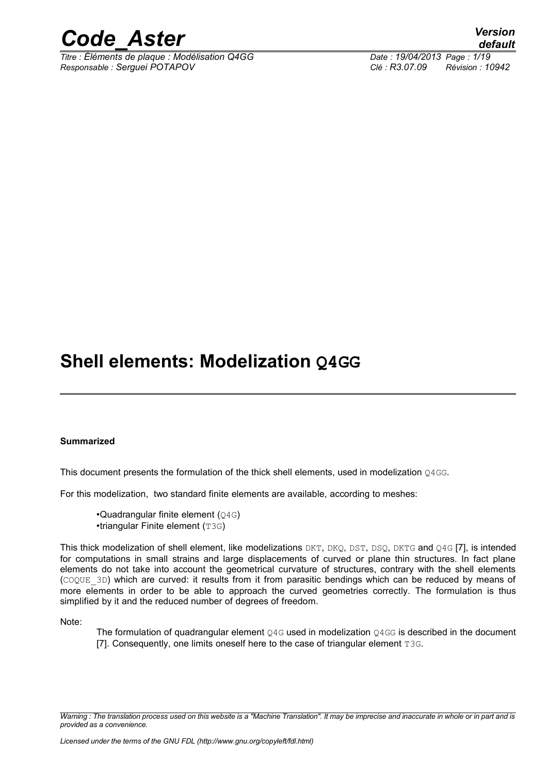

*Titre : Éléments de plaque : Modélisation Q4GG Date : 19/04/2013 Page : 1/19 Responsable : Serguei POTAPOV Clé : R3.07.09 Révision : 10942*

# **Shell elements: Modelization Q4GG**

### **Summarized**

This document presents the formulation of the thick shell elements, used in modelization 04GG.

For this modelization, two standard finite elements are available, according to meshes:

•Quadrangular finite element (Q4G) •triangular Finite element (T3G)

This thick modelization of shell element, like modelizations DKT, DKQ, DST, DSQ, DKTG and Q4G [7], is intended for computations in small strains and large displacements of curved or plane thin structures. In fact plane elements do not take into account the geometrical curvature of structures, contrary with the shell elements (COQUE\_3D) which are curved: it results from it from parasitic bendings which can be reduced by means of more elements in order to be able to approach the curved geometries correctly. The formulation is thus simplified by it and the reduced number of degrees of freedom.

Note:

The formulation of quadrangular element 04G used in modelization 04GG is described in the document [7]. Consequently, one limits oneself here to the case of triangular element T3G.

*Warning : The translation process used on this website is a "Machine Translation". It may be imprecise and inaccurate in whole or in part and is provided as a convenience.*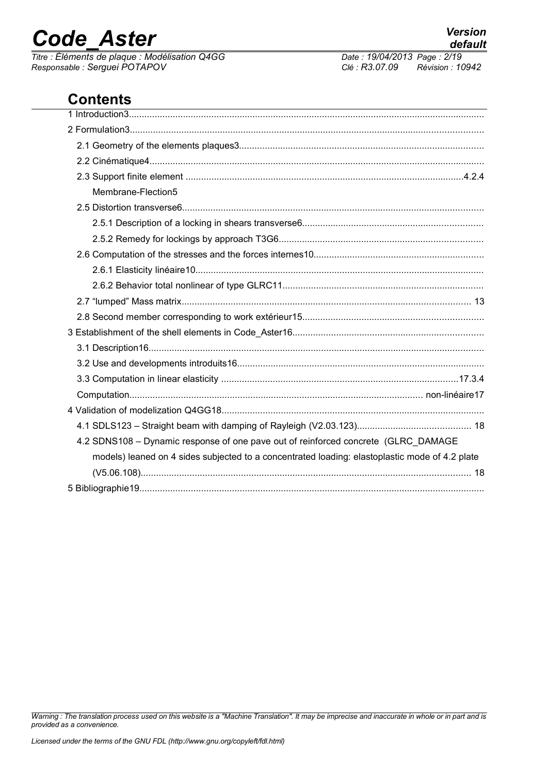*Titre : Éléments de plaque : Modélisation Q4GG Date : 19/04/2013 Page : 2/19 Responsable : Serguei POTAPOV Clé : R3.07.09 Révision : 10942*

# **Contents**

| Membrane-Flection5                                                                             |
|------------------------------------------------------------------------------------------------|
|                                                                                                |
|                                                                                                |
|                                                                                                |
|                                                                                                |
|                                                                                                |
|                                                                                                |
|                                                                                                |
|                                                                                                |
|                                                                                                |
|                                                                                                |
|                                                                                                |
|                                                                                                |
|                                                                                                |
|                                                                                                |
|                                                                                                |
| 4.2 SDNS108 - Dynamic response of one pave out of reinforced concrete (GLRC_DAMAGE             |
| models) leaned on 4 sides subjected to a concentrated loading: elastoplastic mode of 4.2 plate |
|                                                                                                |
|                                                                                                |

*Warning : The translation process used on this website is a "Machine Translation". It may be imprecise and inaccurate in whole or in part and is provided as a convenience.*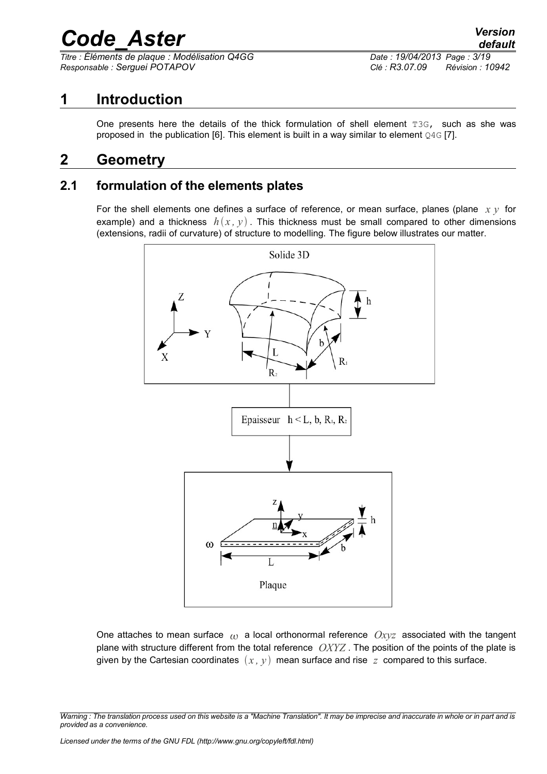*Titre : Éléments de plaque : Modélisation Q4GG Date : 19/04/2013 Page : 3/19 Responsable : Serguei POTAPOV Clé : R3.07.09 Révision : 10942*

# **1 Introduction**

<span id="page-2-2"></span><span id="page-2-0"></span>One presents here the details of the thick formulation of shell element T3G, such as she was proposed in the publication [6]. This element is built in a way similar to element  $Q4G$  [7].

# **2 Geometry**

### **2.1 formulation of the elements plates**

<span id="page-2-1"></span>For the shell elements one defines a surface of reference, or mean surface, planes (plane *x y* for example) and a thickness  $h(x, y)$ . This thickness must be small compared to other dimensions (extensions, radii of curvature) of structure to modelling. The figure below illustrates our matter.



One attaches to mean surface  $\omega$  a local orthonormal reference  $Oxyz$  associated with the tangent plane with structure different from the total reference *OXYZ* . The position of the points of the plate is given by the Cartesian coordinates  $(x, y)$  mean surface and rise  $z$  compared to this surface.

*Warning : The translation process used on this website is a "Machine Translation". It may be imprecise and inaccurate in whole or in part and is provided as a convenience.*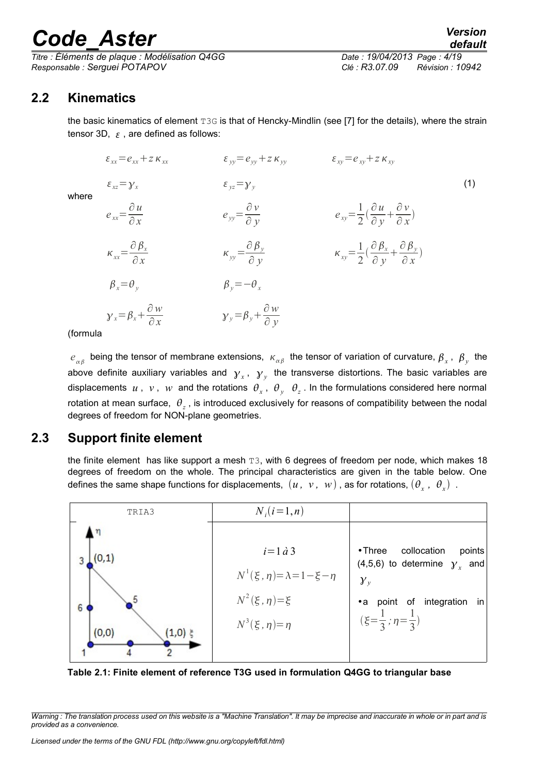*Titre : Éléments de plaque : Modélisation Q4GG Date : 19/04/2013 Page : 4/19 Responsable : Serguei POTAPOV Clé : R3.07.09 Révision : 10942*

### **2.2 Kinematics**

where

<span id="page-3-1"></span>the basic kinematics of element T3G is that of Hencky-Mindlin (see [7] for the details), where the strain tensor 3D,  $\epsilon$ , are defined as follows:

$$
\varepsilon_{xx} = e_{xx} + z \kappa_{xx} \qquad \varepsilon_{yy} = e_{yy} + z \kappa_{yy} \qquad \varepsilon_{xy} = e_{xy} + z \kappa_{xy}
$$
\n
$$
\varepsilon_{xz} = \gamma_x \qquad \varepsilon_{yz} = \gamma_y \qquad \varepsilon_{yy} = \frac{\partial \nu}{\partial y} \qquad \varepsilon_{xy} = \frac{1}{2} (\frac{\partial u}{\partial y} + \frac{\partial v}{\partial x})
$$
\n
$$
\kappa_{xx} = \frac{\partial \beta_x}{\partial x} \qquad \kappa_{yy} = \frac{\partial \beta_y}{\partial y} \qquad \kappa_{xy} = \frac{1}{2} (\frac{\partial \beta_x}{\partial y} + \frac{\partial \beta_y}{\partial x})
$$
\n
$$
\beta_x = \theta_y \qquad \beta_y = -\theta_x \qquad \gamma_x = \beta_x + \frac{\partial w}{\partial x} \qquad \gamma_y = \beta_y + \frac{\partial w}{\partial y}
$$
\n
$$
\varepsilon_{yy} = \frac{\partial \gamma_x}{\partial y} \qquad \varepsilon_{xy} = \frac{1}{2} (\frac{\partial \beta_x}{\partial y} + \frac{\partial \beta_y}{\partial x})
$$
\n
$$
\varepsilon_{yx} = \frac{\partial \gamma_x}{\partial y} \qquad \varepsilon_{xy} = \frac{\partial \gamma_x}{\partial y} \qquad \varepsilon_{xy} = \frac{\partial \gamma_x}{\partial y} \qquad \varepsilon_{xy} = \frac{\partial \gamma_x}{\partial y} \qquad \varepsilon_{xy} = \frac{\partial \gamma_x}{\partial y} \qquad \varepsilon_{xy} = \frac{\partial \gamma_x}{\partial y} \qquad \varepsilon_{xy} = \frac{\partial \gamma_x}{\partial y} \qquad \varepsilon_{xy} = \frac{\partial \gamma_x}{\partial y} \qquad \varepsilon_{xy} = \frac{\partial \gamma_x}{\partial y} \qquad \varepsilon_{xy} = \frac{\partial \gamma_x}{\partial y} \qquad \varepsilon_{xy} = \frac{\partial \gamma_x}{\partial y} \qquad \varepsilon_{xy} = \frac{\partial \gamma_x}{\partial y} \qquad \varepsilon_{xy} = \frac{\partial \gamma_x}{\partial y} \qquad \varepsilon_{xy} = \frac{\partial \gamma_x}{\partial y} \qquad \varepsilon_{xy} = \frac{\partial \gamma_x}{\partial y} \qquad \varepsilon_{xy} = \frac{\partial \gamma
$$

(formula

 $e_{\alpha\beta}$  being the tensor of membrane extensions,  $\kappa_{\alpha\beta}$  the tensor of variation of curvature,  $\beta_x$ ,  $\beta_y$  the above definite auxiliary variables and  $y_x$ ,  $y_y$  the transverse distortions. The basic variables are displacements  $u$ ,  $v$ ,  $w$  and the rotations  $\theta_x$ ,  $\theta_y$   $\theta_z$ . In the formulations considered here normal rotation at mean surface,  $|\theta_z|$ , is introduced exclusively for reasons of compatibility between the nodal degrees of freedom for NON-plane geometries.

### **2.3 Support finite element**

<span id="page-3-0"></span>the finite element has like support a mesh T3, with 6 degrees of freedom per node, which makes 18 degrees of freedom on the whole. The principal characteristics are given in the table below. One defines the same shape functions for displacements,  $(u, v, w)$  , as for rotations,  $(\theta_x, \theta_x)$  .



**Table 2.1: Finite element of reference T3G used in formulation Q4GG to triangular base**

*Warning : The translation process used on this website is a "Machine Translation". It may be imprecise and inaccurate in whole or in part and is provided as a convenience.*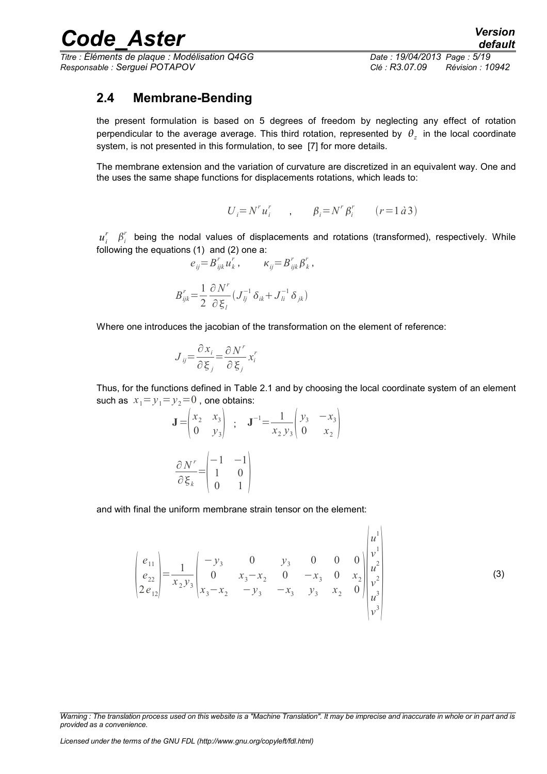*Titre : Éléments de plaque : Modélisation Q4GG Date : 19/04/2013 Page : 5/19 Responsable : Serguei POTAPOV Clé : R3.07.09 Révision : 10942*

*default*

## <span id="page-4-0"></span>**2.4 Membrane-Bending**

the present formulation is based on 5 degrees of freedom by neglecting any effect of rotation perpendicular to the average average. This third rotation, represented by  $\theta_z$  in the local coordinate system, is not presented in this formulation, to see [7] for more details.

The membrane extension and the variation of curvature are discretized in an equivalent way. One and the uses the same shape functions for displacements rotations, which leads to:

$$
U_i = N^r u_i^r \qquad , \qquad \beta_i = N^r \beta_i^r \qquad (r = 1 \, \dot{a} \, 3)
$$

 $u_i^r$   $\beta_i^r$  being the nodal values of displacements and rotations (transformed), respectively. While following the equations (1) and (2) one a:

$$
e_{ij} = B_{ijk}^r u_k^r, \qquad \kappa_{ij} = B_{ijk}^r \beta_k^r,
$$
  

$$
B_{ijk}^r = \frac{1}{2} \frac{\partial N^r}{\partial x^r} (J_{lj}^{-1} \delta_{ik} + J_{li}^{-1} \delta_{jk})
$$

Where one introduces the jacobian of the transformation on the element of reference:

$$
J_{ij} = \frac{\partial x_i}{\partial \xi_j} = \frac{\partial N^r}{\partial \xi_j} x_i^r
$$

∂*<sup>l</sup>*

2

Thus, for the functions defined in Table 2.1 and by choosing the local coordinate system of an element such as  $x_1 = y_1 = y_2 = 0$ , one obtains:

$$
\mathbf{J} = \begin{pmatrix} x_2 & x_3 \\ 0 & y_3 \end{pmatrix} ; \quad \mathbf{J}^{-1} = \frac{1}{x_2 y_3} \begin{pmatrix} y_3 & -x_3 \\ 0 & x_2 \end{pmatrix}
$$

$$
\frac{\partial N^r}{\partial \xi_k} = \begin{pmatrix} -1 & -1 \\ 1 & 0 \\ 0 & 1 \end{pmatrix}
$$

and with final the uniform membrane strain tensor on the element:

$$
\begin{pmatrix} e_{11} \\ e_{22} \\ 2e_{12} \end{pmatrix} = \frac{1}{x_2 y_3} \begin{pmatrix} -y_3 & 0 & y_3 & 0 & 0 & 0 \\ 0 & x_3 - x_2 & 0 & -x_3 & 0 & x_2 \\ x_3 - x_2 & -y_3 & -x_3 & y_3 & x_2 & 0 \end{pmatrix} \begin{pmatrix} u^1 \\ v^1 \\ u^2 \\ v^2 \\ u^3 \\ v^3 \end{pmatrix}
$$
 (3)

 $\overline{1}$  $\mathbf{I}$ 

*Warning : The translation process used on this website is a "Machine Translation". It may be imprecise and inaccurate in whole or in part and is provided as a convenience.*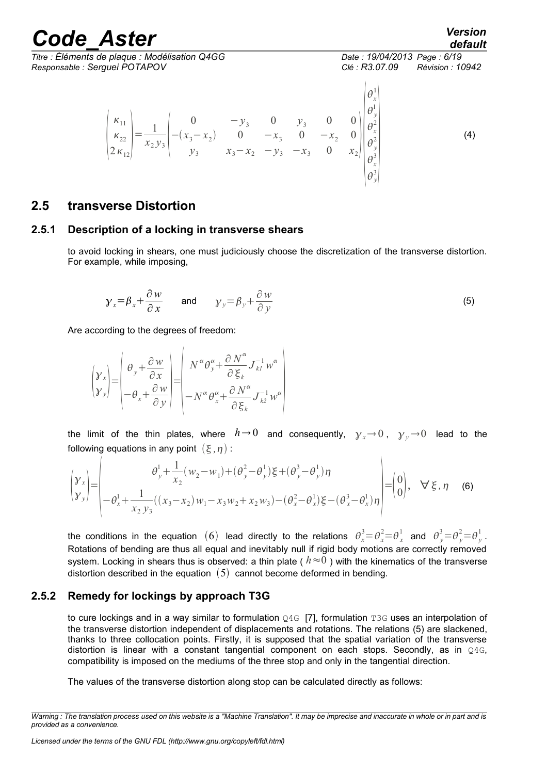# rande Aster *Version*

*default*

*Titre : Éléments de plaque : Modélisation Q4GG Date : 19/04/2013 Page : 6/19 Responsable : Serguei POTAPOV Clé : R3.07.09 Révision : 10942*  $\kappa_{11}$  $\kappa_{22}$  $2\kappa_{12}$  $=-\frac{1}{2}$  $x_2 y_3$ 0  $-y_3$  0  $y_3$  0 0  $-(x_3 - x_2)$  0 −*x*<sub>3</sub> 0 −*x*<sub>2</sub> 0 *y*<sub>3</sub> *x*<sub>3</sub>−*x*<sub>2</sub> −*y*<sub>3</sub> −*x*<sub>3</sub> 0 *x*<sub>2</sub>  $\begin{vmatrix} \theta_y^2 \\ \theta_x^3 \end{vmatrix}$  $\theta_x^1$ 1  $\theta_y^1$  $\theta_x^2$  $\theta_y^2$  $\theta_x^3$  $\theta_y^3$  $\begin{bmatrix} x \\ 3 \end{bmatrix}$ (4)

### <span id="page-5-2"></span>**2.5 transverse Distortion**

 $\frac{1}{2}$ 

### **2.5.1 Description of a locking in transverse shears**

<span id="page-5-1"></span>to avoid locking in shears, one must judiciously choose the discretization of the transverse distortion. For example, while imposing,

$$
y_x = \beta_x + \frac{\partial w}{\partial x}
$$
 and  $y_y = \beta_y + \frac{\partial w}{\partial y}$  (5)

Are according to the degrees of freedom:

$$
\begin{pmatrix} \mathbf{y}_x \\ \mathbf{y}_y \end{pmatrix} = \begin{pmatrix} \theta_y + \frac{\partial w}{\partial x} \\ -\theta_x + \frac{\partial w}{\partial y} \end{pmatrix} = \begin{pmatrix} N^{\alpha} \theta_y^{\alpha} + \frac{\partial N^{\alpha}}{\partial \xi_k} J_{kl}^{-1} w^{\alpha} \\ -N^{\alpha} \theta_x^{\alpha} + \frac{\partial N^{\alpha}}{\partial \xi_k} J_{kl}^{-1} w^{\alpha} \end{pmatrix}
$$

the limit of the thin plates, where  $h \rightarrow 0$  and consequently,  $\gamma_x \rightarrow 0$ ,  $\gamma_y \rightarrow 0$  lead to the following equations in any point  $(\xi, \eta)$ :

$$
\begin{pmatrix} \mathbf{y}_x \\ \mathbf{y}_y \end{pmatrix} = \begin{pmatrix} \theta_y^1 + \frac{1}{x_2} (w_2 - w_1) + (\theta_y^2 - \theta_y^1) \xi + (\theta_y^3 - \theta_y^1) \eta \\ -\theta_x^1 + \frac{1}{x_2 y_3} ((x_3 - x_2) w_1 - x_3 w_2 + x_2 w_3) - (\theta_x^2 - \theta_x^1) \xi - (\theta_x^3 - \theta_x^1) \eta \end{pmatrix} = \begin{pmatrix} 0 \\ 0 \end{pmatrix}, \quad \forall \xi, \eta \quad (6)
$$

the conditions in the equation  $(6)$  lead directly to the relations  $\theta_x^3 = \theta_x^2 = \theta_x^1$  and  $\theta_y^3 = \theta_y^2 = \theta_y^1$ . Rotations of bending are thus all equal and inevitably null if rigid body motions are correctly removed system. Locking in shears thus is observed: a thin plate ( $h \approx 0$ ) with the kinematics of the transverse distortion described in the equation  $(5)$  cannot become deformed in bending.

### **2.5.2 Remedy for lockings by approach T3G**

<span id="page-5-0"></span>to cure lockings and in a way similar to formulation  $Q4G$  [7], formulation T3G uses an interpolation of the transverse distortion independent of displacements and rotations. The relations (5) are slackened, thanks to three collocation points. Firstly, it is supposed that the spatial variation of the transverse distortion is linear with a constant tangential component on each stops. Secondly, as in Q4G, compatibility is imposed on the mediums of the three stop and only in the tangential direction.

The values of the transverse distortion along stop can be calculated directly as follows:

*Warning : The translation process used on this website is a "Machine Translation". It may be imprecise and inaccurate in whole or in part and is provided as a convenience.*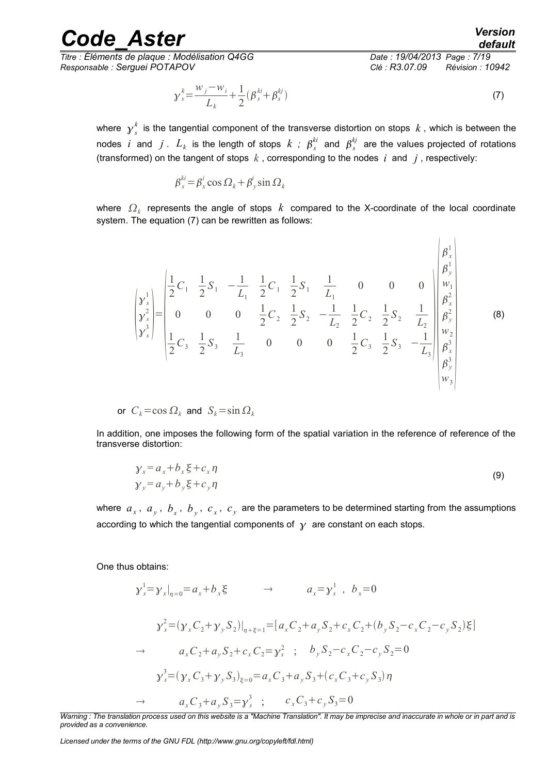*Titre : Éléments de plaque : Modélisation Q4GG Date : 19/04/2013 Page : 7/19 Responsable : Serguei POTAPOV Clé : R3.07.09 Révision : 10942*

*default*

 $\overline{1}$ 

$$
\gamma_s^k = \frac{w_j - w_i}{L_k} + \frac{1}{2} (\beta_s^{ki} + \beta_s^{kj})
$$
\n(7)

where  $\,\mathcal{y}_{\,s}^{\,k}\,$  is the tangential component of the transverse distortion on stops  $\,k$  , which is between the nodes *i* and  $j$  .  $L_k$  is the length of stops  $k$  ;  $\beta_s^{ki}$  and  $\beta_s^{kj}$  are the values projected of rotations (transformed) on the tangent of stops *k* , corresponding to the nodes *i* and *j* , respectively:

$$
\beta_s^{ki} = \beta_x^i \cos \Omega_k + \beta_y^i \sin \Omega_k
$$

where  $\Omega_k$  represents the angle of stops  $\,k\,$  compared to the X-coordinate of the local coordinate system. The equation (7) can be rewritten as follows:

$$
\begin{bmatrix} \mathbf{y}_{s}^{1} \\ \mathbf{y}_{s}^{2} \\ \mathbf{y}_{s}^{3} \end{bmatrix} = \begin{bmatrix} \frac{1}{2}C_{1} & \frac{1}{2}S_{1} & -\frac{1}{L_{1}} & \frac{1}{2}C_{1} & \frac{1}{2}S_{1} & \frac{1}{L_{1}} & 0 & 0 & 0 \\ 0 & 0 & \frac{1}{2}C_{2} & \frac{1}{2}S_{2} & -\frac{1}{L_{2}} & \frac{1}{2}C_{2} & \frac{1}{2}S_{2} & \frac{1}{L_{2}} \\ \frac{1}{2}C_{3} & \frac{1}{2}S_{3} & \frac{1}{L_{3}} & 0 & 0 & 0 & \frac{1}{2}C_{3} & \frac{1}{2}S_{3} & -\frac{1}{L_{3}} \\ \frac{1}{2}C_{4} & \frac{1}{2}S_{5} & \frac{1}{L_{4}} & 0 & 0 & 0 & \frac{1}{2}C_{5} & \frac{1}{2}S_{5} & -\frac{1}{L_{3}} \\ \frac{1}{2}C_{5} & \frac{1}{2}S_{5} & -\frac{1}{L_{4}} & \frac{1}{2}S_{5} & -\frac{1}{L_{5}} \\ \frac{1}{2}C_{5} & \frac{1}{2}S_{5} & \frac{1}{L_{5}} & 0 & 0 & 0 & \frac{1}{2}C_{5} & \frac{1}{2}S_{5} & -\frac{1}{L_{5}} \\ \frac{1}{2}C_{6} & \frac{1}{2}C_{7} & \frac{1}{2}C_{8} & \frac{1}{2}C_{9} & \frac{1}{2}C_{1} & \frac{1}{2}C_{1} & \frac{1}{2}C_{2} & \frac{1}{2}C_{3} & \frac{1}{2}C_{4} & \frac{1}{2}C_{5} \\ \frac{1}{2}C_{8} & \frac{1}{2}C_{9} & \frac{1}{2}C_{1} & \frac{1}{2}C_{1} & \frac{1}{2}C_{2} & \frac{1}{2}C_{1} & \frac{1}{2}C_{2} & \frac{1}{2}C_{3} & \frac{1}{2}C_{4} & \frac{1}{2}C_{5} & \frac{1}{2}C_{6} & \frac{1}{2}C_{
$$

or 
$$
C_k = \cos \Omega_k
$$
 and  $S_k = \sin \Omega_k$ 

In addition, one imposes the following form of the spatial variation in the reference of reference of the transverse distortion:

$$
\begin{aligned} \n\mathbf{y}_x &= a_x + b_x \xi + c_x \eta \\ \n\mathbf{y}_y &= a_y + b_y \xi + c_y \eta \n\end{aligned} \tag{9}
$$

where  $a_x$ ,  $a_y$ ,  $b_x$ ,  $b_y$ ,  $c_x$ ,  $c_y$  are the parameters to be determined starting from the assumptions according to which the tangential components of  $\gamma$  are constant on each stops.

One thus obtains:

$$
\gamma_s^1 = \gamma_x |_{\eta=0} = a_x + b_x \xi \qquad \to \qquad a_x = \gamma_s^1, \quad b_x = 0
$$
  

$$
\gamma_s^2 = (\gamma_x C_2 + \gamma_y S_2)|_{\eta=\xi=1} = [a_x C_2 + a_y S_2 + c_x C_2 + (b_y S_2 - c_x C_2 - c_y S_2) \xi]
$$
  

$$
\to \qquad a_x C_2 + a_y S_2 + c_x C_2 = \gamma_s^2; \qquad b_y S_2 - c_x C_2 - c_y S_2 = 0
$$
  

$$
\gamma_s^3 = (\gamma_x C_3 + \gamma_y S_3)_{\xi=0} = a_x C_3 + a_y S_3 + (c_x C_3 + c_y S_3) \eta
$$
  

$$
\to \qquad a_x C_3 + a_y S_3 = \gamma_s^3; \qquad c_x C_3 + c_y S_3 = 0
$$

*Licensed under the terms of the GNU FDL (http://www.gnu.org/copyleft/fdl.html)*

*Warning : The translation process used on this website is a "Machine Translation". It may be imprecise and inaccurate in whole or in part and is provided as a convenience.*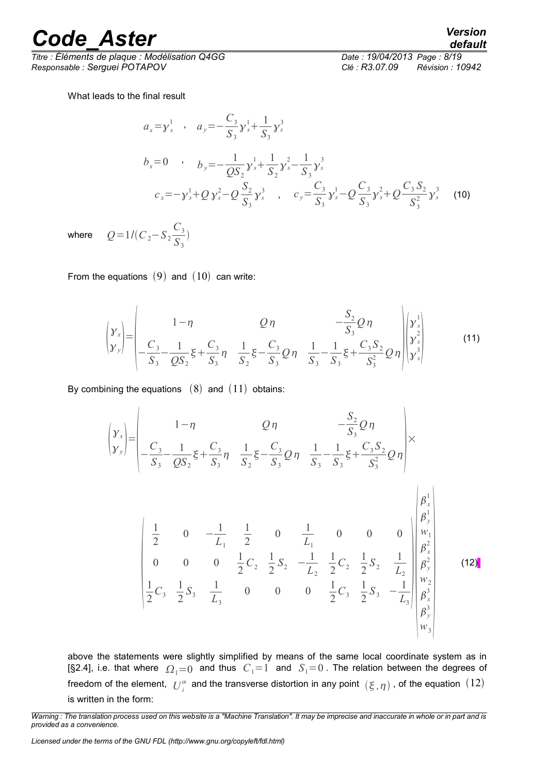*Titre : Éléments de plaque : Modélisation Q4GG Date : 19/04/2013 Page : 8/19 Responsable : Serguei POTAPOV Clé : R3.07.09 Révision : 10942*

What leads to the final result

$$
a_x = y_s^1 \t a_y = -\frac{C_3}{S_3} y_s^1 + \frac{1}{S_3} y_s^3
$$
  
\n
$$
b_x = 0 \t b_y = -\frac{1}{QS_2} y_s^1 + \frac{1}{S_2} y_s^2 - \frac{1}{S_3} y_s^3
$$
  
\n
$$
c_x = -y_s^1 + Q y_s^2 - Q \frac{S_2}{S_3} y_s^3 \t a_y^2 - C \frac{C_3}{S_3} y_s^1 - Q \frac{C_3}{S_3} y_s^2 + Q \frac{C_3 S_2}{S_3^2} y_s^3 \t (10)
$$

where  $Q=1/(C_2-S_2)$ 

From the equations  $(9)$  and  $(10)$  can write:

*C*3 *S*3  $\big)$ 

$$
\begin{pmatrix} y_x \\ y_y \end{pmatrix} = \begin{pmatrix} 1-\eta & Q\eta & -\frac{S_2}{S_3}Q\eta \\ -\frac{C_3}{S_3} - \frac{1}{QS_2}\xi + \frac{C_3}{S_3}\eta & \frac{1}{S_2}\xi - \frac{C_3}{S_3}Q\eta & \frac{1}{S_3} - \frac{1}{S_3}\xi + \frac{C_3S_2}{S_3^2}Q\eta \end{pmatrix} \begin{pmatrix} y_s^1 \\ y_s^2 \\ y_s^3 \end{pmatrix}
$$
(11)

By combining the equations  $(8)$  and  $(11)$  obtains:

$$
\begin{pmatrix}\ny_x \\
y_y\n\end{pmatrix} = \begin{vmatrix}\n1-\eta & Q\eta & -\frac{S_2}{S_3}Q\eta \\
C_3 & 1 & Q_2S_2 \end{vmatrix} \times \frac{C_3}{S_3} - \frac{1}{S_3} \xi + \frac{C_3}{S_3} \eta & \frac{1}{S_2} \xi - \frac{C_3}{S_3}Q\eta & \frac{1}{S_3} - \frac{1}{S_3} \xi + \frac{C_3 S_2}{S_3^2}Q\eta\n\end{pmatrix} \times \begin{pmatrix}\n\frac{1}{2} & 0 & -\frac{1}{L_1} & \frac{1}{2} & 0 & \frac{1}{L_1} & 0 & 0 & 0 \\
\frac{1}{2} & 0 & -\frac{1}{L_1} & \frac{1}{2} & 0 & \frac{1}{L_1} & 0 & 0 & 0 \\
0 & 0 & 0 & \frac{1}{2}C_2 & \frac{1}{2}S_2 & -\frac{1}{L_2} & \frac{1}{2}C_2 & \frac{1}{2}S_2 & \frac{1}{L_2} \\
\frac{1}{2}C_3 & \frac{1}{2}S_3 & \frac{1}{L_3} & 0 & 0 & 0 & \frac{1}{2}C_3 & \frac{1}{2}S_3 & -\frac{1}{L_3} \end{pmatrix} \begin{vmatrix}\n\beta_x^1 \\
\beta_y^2 \\
\beta_x^2 \\
\beta_y^2 \\
\beta_y^3 \\
\beta_y^4 \\
\beta_y^3 \\
\beta_y^4\n\end{vmatrix}
$$
\n(12)

above the statements were slightly simplified by means of the same local coordinate system as in [§2.4], i.e. that where  $\Omega_1=0$  and thus  $C_1=1$  and  $S_1=0$ . The relation between the degrees of freedom of the element,  $|U^\alpha_i|$  and the transverse distortion in any point  $(\xi, \eta)$  , of the equation  $(12)$ is written in the form:

*default*

*Warning : The translation process used on this website is a "Machine Translation". It may be imprecise and inaccurate in whole or in part and is provided as a convenience.*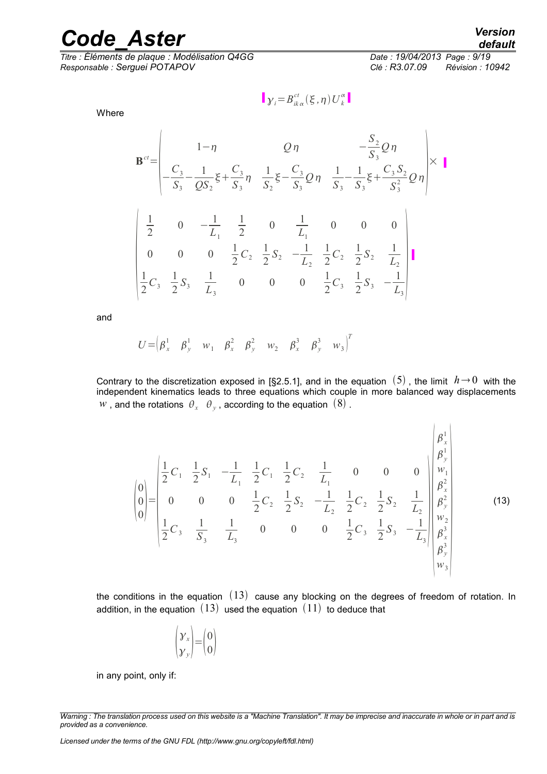*Titre : Éléments de plaque : Modélisation Q4GG Date : 19/04/2013 Page : 9/19 Responsable : Serguei POTAPOV Clé : R3.07.09 Révision : 10942*

Where

$$
\mathbf{B}^{ct} = \begin{vmatrix} 1-\eta & Q\eta & -\frac{S_2}{S_3}Q\eta \\ -\frac{C_3}{S_3} - \frac{1}{QS_2}\xi + \frac{C_3}{S_3}\eta & \frac{1}{S_2}\xi - \frac{C_3}{S_3}Q\eta & \frac{1}{S_3} - \frac{1}{S_3}\xi + \frac{C_3S_2}{S_3^2}Q\eta \end{vmatrix} \times \mathbf{I}
$$
  
\n
$$
\begin{vmatrix} \frac{1}{2} & 0 & -\frac{1}{L_1} & \frac{1}{2} & 0 & \frac{1}{L_1} & 0 & 0 & 0 \\ 0 & 0 & \frac{1}{2}C_2 & \frac{1}{2}S_2 & -\frac{1}{L_2} & \frac{1}{2}C_2 & \frac{1}{2}S_2 & \frac{1}{L_2} \\ \frac{1}{2}C_3 & \frac{1}{2}S_3 & \frac{1}{L_3} & 0 & 0 & 0 & \frac{1}{2}C_3 & \frac{1}{2}S_3 & -\frac{1}{L_3} \end{vmatrix}
$$

 $\gamma_i = B_{ik\alpha}^{ct}(\xi, \eta)U_k^{\alpha}$ 

and

$$
U = \begin{pmatrix} \beta_x^1 & \beta_y^1 & w_1 & \beta_x^2 & \beta_y^2 & w_2 & \beta_x^3 & \beta_y^3 & w_3 \end{pmatrix}^T
$$

Contrary to the discretization exposed in [§2.5.1], and in the equation  $(5)$ , the limit  $h \rightarrow 0$  with the independent kinematics leads to three equations which couple in more balanced way displacements  $w$  , and the rotations  $\,\theta_{x}\,\,\,\theta_{\,y}$  , according to the equation  $\,\left( 8\right)$  .

$$
\begin{pmatrix}\n0 \\
0 \\
0 \\
0\n\end{pmatrix} =\n\begin{pmatrix}\n\frac{1}{2}C_1 & \frac{1}{2}S_1 & -\frac{1}{L_1} & \frac{1}{2}C_1 & \frac{1}{2}C_2 & \frac{1}{L_1} & 0 & 0 & 0 \\
0 & 0 & 0 & \frac{1}{2}C_2 & \frac{1}{2}S_2 & -\frac{1}{L_2} & \frac{1}{2}C_2 & \frac{1}{2}S_2 & \frac{1}{L_2} \\
0 & 0 & 0 & \frac{1}{2}C_2 & \frac{1}{2}S_2 & -\frac{1}{L_2} & \frac{1}{2}C_2 & \frac{1}{2}S_2 & \frac{1}{L_2} \\
\frac{1}{2}C_3 & \frac{1}{S_3} & \frac{1}{L_3} & 0 & 0 & 0 & \frac{1}{2}C_3 & \frac{1}{2}S_3 & -\frac{1}{L_3}\n\end{pmatrix}\n\begin{pmatrix}\n\beta_x^1 \\
\beta_y^2 \\
\beta_x^2 \\
\beta_y^2 \\
\beta_y^3 \\
\beta_y^3 \\
\beta_y^4\n\end{pmatrix}
$$
\n(13)

the conditions in the equation  $(13)$  cause any blocking on the degrees of freedom of rotation. In addition, in the equation  $(13)$  used the equation  $(11)$  to deduce that

$$
\begin{pmatrix} \gamma_x \\ \gamma_y \end{pmatrix} = \begin{pmatrix} 0 \\ 0 \end{pmatrix}
$$

in any point, only if:

*default*

*Warning : The translation process used on this website is a "Machine Translation". It may be imprecise and inaccurate in whole or in part and is provided as a convenience.*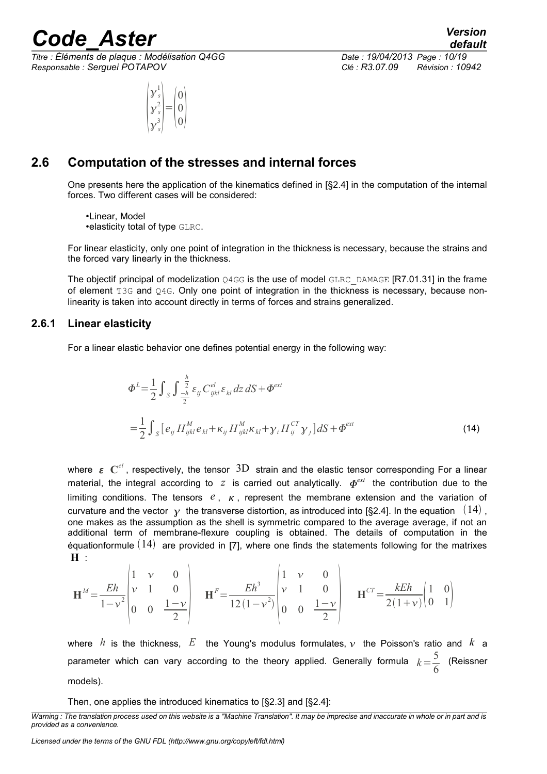*Titre : Éléments de plaque : Modélisation Q4GG Date : 19/04/2013 Page : 10/19 Responsable : Serguei POTAPOV Clé : R3.07.09 Révision : 10942*

$$
\begin{pmatrix} \mathbf{y}_s^1 \\ \mathbf{y}_s^2 \\ \mathbf{y}_s^3 \end{pmatrix} = \begin{pmatrix} 0 \\ 0 \\ 0 \end{pmatrix}
$$

*default*

### **2.6 Computation of the stresses and internal forces**

<span id="page-9-1"></span>One presents here the application of the kinematics defined in [§2.4] in the computation of the internal forces. Two different cases will be considered:

•Linear, Model •elasticity total of type GLRC.

For linear elasticity, only one point of integration in the thickness is necessary, because the strains and the forced vary linearly in the thickness.

The objectif principal of modelization  $Q4GG$  is the use of model GLRC DAMAGE [R7.01.31] in the frame of element T3G and Q4G. Only one point of integration in the thickness is necessary, because nonlinearity is taken into account directly in terms of forces and strains generalized.

### **2.6.1 Linear elasticity**

<span id="page-9-0"></span>For a linear elastic behavior one defines potential energy in the following way:

$$
\Phi^{L} = \frac{1}{2} \int_{S} \int_{-\frac{h}{2}}^{\frac{h}{2}} \varepsilon_{ij} C_{ijkl}^{el} \varepsilon_{kl} dz dS + \Phi^{ext}
$$
  
= 
$$
\frac{1}{2} \int_{S} [e_{ij} H_{ijkl}^{M} e_{kl} + \kappa_{ij} H_{ijkl}^{M} \kappa_{kl} + \gamma_{i} H_{ij}^{CT} \gamma_{j}] dS + \Phi^{ext}
$$
(14)

where  $\, \bm{\varepsilon} \, \bm{\,} C^{el}$ , respectively, the tensor  $\, 3D \,$  strain and the elastic tensor corresponding For a linear material, the integral according to  $z$  is carried out analytically.  $\boldsymbol{\phi}^{ext}$  the contribution due to the limiting conditions. The tensors  $e_1, \kappa_2$ , represent the membrane extension and the variation of curvature and the vector  $\gamma$  the transverse distortion, as introduced into [§2.4]. In the equation  $(14)$ , one makes as the assumption as the shell is symmetric compared to the average average, if not an additional term of membrane-flexure coupling is obtained. The details of computation in the equationformule  $(14)$  are provided in [7], where one finds the statements following for the matrixes **H** :

$$
\mathbf{H}^{M} = \frac{Eh}{1 - v^{2}} \begin{pmatrix} 1 & v & 0 \\ v & 1 & 0 \\ 0 & 0 & \frac{1 - v}{2} \end{pmatrix} \quad \mathbf{H}^{F} = \frac{Eh^{3}}{12(1 - v^{2})} \begin{pmatrix} 1 & v & 0 \\ v & 1 & 0 \\ 0 & 0 & \frac{1 - v}{2} \end{pmatrix} \quad \mathbf{H}^{CT} = \frac{kEh}{2(1 + v)} \begin{pmatrix} 1 & 0 \\ 0 & 1 \end{pmatrix}
$$

where *h* is the thickness, E the Young's modulus formulates,  $v$  the Poisson's ratio and  $k$  a parameter which can vary according to the theory applied. Generally formula  $k=\frac{5}{6}$ 6 (Reissner models).

Then, one applies the introduced kinematics to [§2.3] and [§2.4]:

*Warning : The translation process used on this website is a "Machine Translation". It may be imprecise and inaccurate in whole or in part and is provided as a convenience.*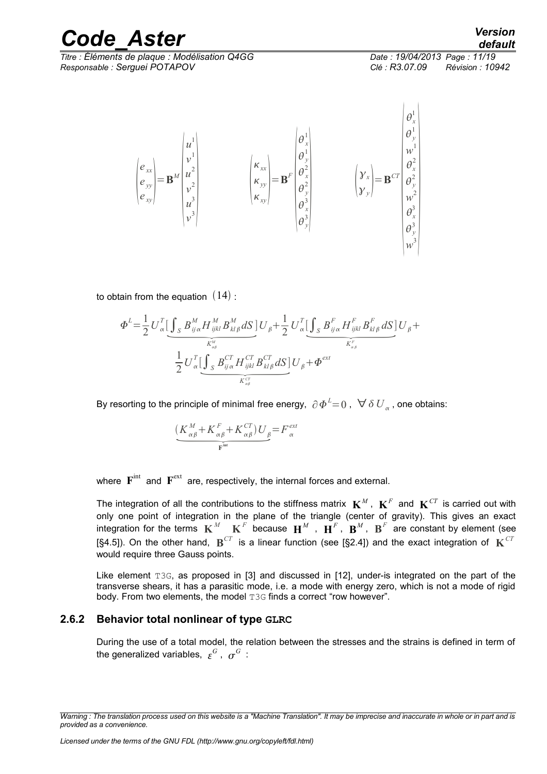*Titre : Éléments de plaque : Modélisation Q4GG Date : 19/04/2013 Page : 11/19 Responsable : Serguei POTAPOV Clé : R3.07.09 Révision : 10942*

 $\mathbf{1}$ 

$$
\begin{pmatrix} e_{xx} \\ e_{yy} \\ e_{xy} \end{pmatrix} = \mathbf{B}^M \begin{pmatrix} u^1 \\ v^1 \\ u^2 \\ v^2 \\ u^3 \\ v^3 \end{pmatrix} \qquad \qquad \begin{pmatrix} \kappa_{xx} \\ \kappa_{yy} \\ \kappa_{xy} \end{pmatrix} = \mathbf{B}^F \begin{pmatrix} \theta_x^1 \\ \theta_y^1 \\ \theta_y^2 \\ \theta_y^2 \\ \theta_y^3 \\ \theta_y^3 \\ \theta_y^3 \end{pmatrix} \qquad \qquad \begin{pmatrix} \mathbf{y}_x \\ \mathbf{y}_y \\ \mathbf{y}_z \end{pmatrix} = \mathbf{B}^{CT} \begin{pmatrix} \theta_x^1 \\ \theta_y^2 \\ \theta_x^2 \\ \theta_y^2 \\ \theta_y^3 \\ \theta_y^3 \\ \theta_y^3 \\ \theta_y^3 \end{pmatrix}
$$

to obtain from the equation  $(14)$ :

$$
\mathbf{a} \mathbf{b} \text{ from the equation } (14):
$$
\n
$$
\Phi^{L} = \frac{1}{2} U_{\alpha}^{T} \Big[ \underbrace{\int_{S} B_{ij\alpha}^{M} H_{ijkl}^{M} B_{kl\beta}^{M} dS}_{K_{\alpha\beta}^{N}} \Big] U_{\beta} + \frac{1}{2} U_{\alpha}^{T} \Big[ \underbrace{\int_{S} B_{ij\alpha}^{F} H_{ijkl}^{F} B_{kl\beta}^{F} dS}_{K_{\alpha\beta}^{F}} \Big] U_{\beta} + \frac{1}{2} U_{\alpha}^{T} \Big[ \underbrace{\int_{S} B_{ij\alpha}^{CT} H_{ijkl}^{CT} B_{kl\beta}^{CT} dS}_{K_{\alpha\beta}^{CT}} \Big] U_{\beta} + \Phi^{\text{ext}}
$$

By resorting to the principle of minimal free energy,  $\ \partial\varPhi^L\mathbf{=}\,0$  ,  $\ \forall\ \delta\ {U}_{_{\alpha}}$  , one obtains:

$$
2^{-\alpha} \underbrace{S - \eta \alpha - \eta \kappa - \eta \kappa \mu}_{K_{\alpha\beta}} - \underbrace{K_{\alpha\beta}^{CT}}_{\text{prime}}
$$
\n
$$
\underbrace{(K_{\alpha\beta}^{M} + K_{\alpha\beta}^{F} + K_{\alpha\beta}^{CT})U_{\beta}}_{\text{F}^{\text{int}}} = F_{\alpha}^{\text{ext}}
$$

where  $\mathbf{F}^{\text{int}}$  and  $\mathbf{F}^{\text{ext}}$  are, respectively, the internal forces and external.

The integration of all the contributions to the stiffness matrix  $\mathbf{K}^M$  ,  $\mathbf{K}^F$  and  $\mathbf{K}^{CT}$  is carried out with only one point of integration in the plane of the triangle (center of gravity). This gives an exact integration for the terms  $\mathbf{K}^M - \mathbf{K}^F$  because  $\mathbf{H}^M$  ,  $\mathbf{H}^F$ ,  $\mathbf{B}^M$ ,  $\mathbf{B}^F$  are constant by element (see [§4.5]). On the other hand,  $\mathbf{B}^{CT}$  is a linear function (see [§2.4]) and the exact integration of  $\mathbf{K}^{CT}$ would require three Gauss points.

Like element T3G, as proposed in [3] and discussed in [12], under-is integrated on the part of the transverse shears, it has a parasitic mode, i.e. a mode with energy zero, which is not a mode of rigid body. From two elements, the model T3G finds a correct "row however".

### **2.6.2 Behavior total nonlinear of type GLRC**

<span id="page-10-0"></span>During the use of a total model, the relation between the stresses and the strains is defined in term of the generalized variables,  $\, \varepsilon^G \,$  ,  $\, \sigma^G \,$  :

*Warning : The translation process used on this website is a "Machine Translation". It may be imprecise and inaccurate in whole or in part and is provided as a convenience.*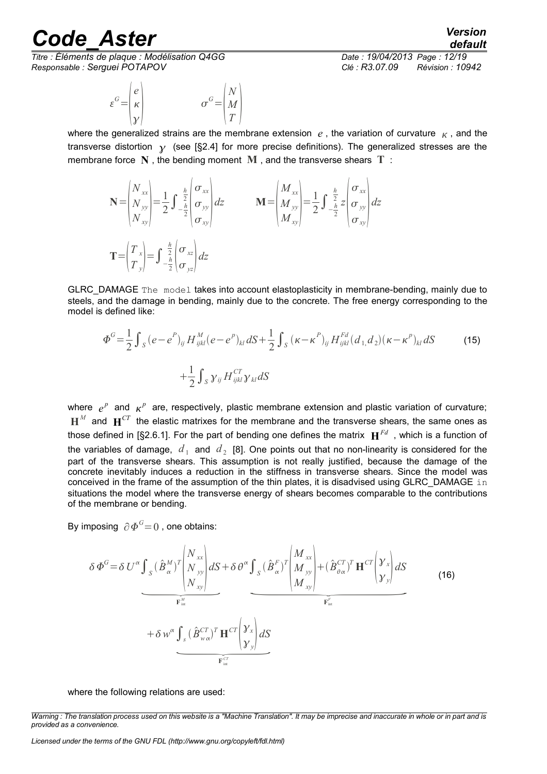*Titre : Éléments de plaque : Modélisation Q4GG Date : 19/04/2013 Page : 12/19 Responsable : Serguei POTAPOV Clé : R3.07.09 Révision : 10942*

$$
\varepsilon^{G} = \begin{pmatrix} e \\ \kappa \\ \gamma \end{pmatrix} \qquad \qquad \sigma^{G} = \begin{pmatrix} N \\ M \\ T \end{pmatrix}
$$

*default*

where the generalized strains are the membrane extension  $e$ , the variation of curvature  $\kappa$ , and the transverse distortion  $\gamma$  (see [§2.4] for more precise definitions). The generalized stresses are the membrane force **N** , the bending moment **M** , and the transverse shears **T** :

$$
\mathbf{N} = \begin{pmatrix} N_{xx} \\ N_{yy} \\ N_{xy} \end{pmatrix} = \frac{1}{2} \int_{-\frac{h}{2}}^{\frac{h}{2}} \begin{pmatrix} \sigma_{xx} \\ \sigma_{yy} \\ \sigma_{xy} \end{pmatrix} dz \qquad \mathbf{M} = \begin{pmatrix} M_{xx} \\ M_{yy} \\ M_{xy} \end{pmatrix} = \frac{1}{2} \int_{-\frac{h}{2}}^{\frac{h}{2}} \begin{pmatrix} \sigma_{xx} \\ \sigma_{yy} \end{pmatrix} dz
$$

$$
\mathbf{T} = \begin{pmatrix} T_{x} \\ T_{y} \end{pmatrix} = \int_{-\frac{h}{2}}^{\frac{h}{2}} \begin{pmatrix} \sigma_{xz} \\ \sigma_{yz} \end{pmatrix} dz
$$

GLRC\_DAMAGE The model takes into account elastoplasticity in membrane-bending, mainly due to steels, and the damage in bending, mainly due to the concrete. The free energy corresponding to the model is defined like:

$$
\Phi^{G} = \frac{1}{2} \int_{S} (e - e^{P})_{ij} H_{ijkl}^{M} (e - e^{P})_{kl} dS + \frac{1}{2} \int_{S} (\kappa - \kappa^{P})_{ij} H_{ijkl}^{Fd} (d_{1,} d_{2}) (\kappa - \kappa^{P})_{kl} dS + \frac{1}{2} \int_{S} \gamma_{ij} H_{ijkl}^{CT} \gamma_{kl} dS
$$
\n(15)

where  $e^{p}$  and  $\kappa^{p}$  are, respectively, plastic membrane extension and plastic variation of curvature;  $\textbf{H}^M$  and  $\textbf{H}^{CT}$  the elastic matrixes for the membrane and the transverse shears, the same ones as those defined in [§2.6.1]. For the part of bending one defines the matrix  $\mathbf{H}^{Fd}$  , which is a function of the variables of damage,  $d_{\perp}$  and  $d_{\perp}$  [8]. One points out that no non-linearity is considered for the part of the transverse shears. This assumption is not really justified, because the damage of the concrete inevitably induces a reduction in the stiffness in transverse shears. Since the model was conceived in the frame of the assumption of the thin plates, it is disadvised using GLRC\_DAMAGE in situations the model where the transverse energy of shears becomes comparable to the contributions of the membrane or bending.

By imposing  $\ \partial \varPhi^{\scriptscriptstyle G}\!\! =\! 0$  , one obtains:

 *<sup>G</sup>*=*U* ∫*S B M T N xx N yy <sup>N</sup> xy dS* **F**int *M* ∫*S B F T M xx M yy <sup>M</sup> xy B CT <sup>T</sup>* **H** *CT x y dS* **F**int *F* (16) *w* ∫*s B w CT <sup>T</sup>* **H** *CT x y dS* **F**int *CT*

where the following relations are used:

*Licensed under the terms of the GNU FDL (http://www.gnu.org/copyleft/fdl.html)*

*Warning : The translation process used on this website is a "Machine Translation". It may be imprecise and inaccurate in whole or in part and is provided as a convenience.*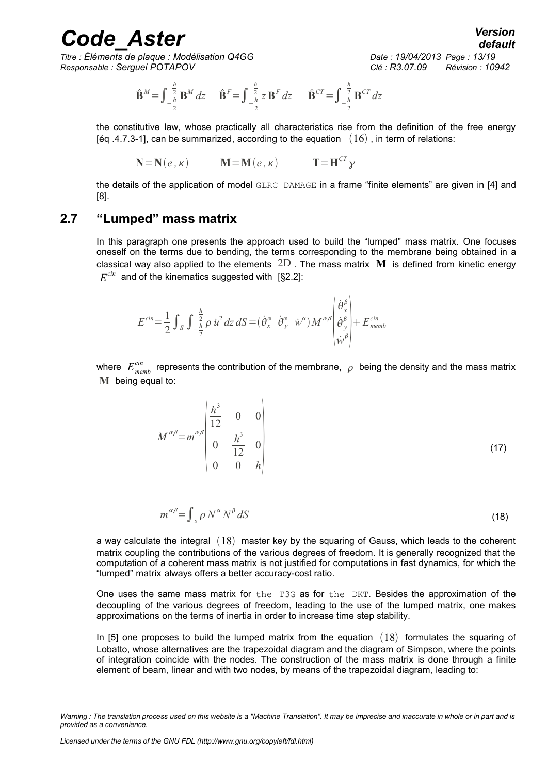*Titre : Éléments de plaque : Modélisation Q4GG Date : 19/04/2013 Page : 13/19 Responsable : Serguei POTAPOV Clé : R3.07.09 Révision : 10942*

$$
\hat{\mathbf{B}}^M = \int_{-\frac{h}{2}}^{\frac{h}{2}} \mathbf{B}^M dz \quad \hat{\mathbf{B}}^F = \int_{-\frac{h}{2}}^{\frac{h}{2}} z \mathbf{B}^F dz \quad \hat{\mathbf{B}}^{CT} = \int_{-\frac{h}{2}}^{\frac{h}{2}} \mathbf{B}^{CT} dz
$$

the constitutive law, whose practically all characteristics rise from the definition of the free energy [éq .4.7.3-1], can be summarized, according to the equation  $(16)$ , in term of relations:

$$
\mathbf{N} = \mathbf{N}(e, \kappa) \qquad \mathbf{M} = \mathbf{M}(e, \kappa) \qquad \mathbf{T} = \mathbf{H}^{CT} \mathbf{y}
$$

the details of the application of model GLRC\_DAMAGE in a frame "finite elements" are given in [4] and [8].

# **2.7 "Lumped" mass matrix**

<span id="page-12-0"></span>In this paragraph one presents the approach used to build the "lumped" mass matrix. One focuses oneself on the terms due to bending, the terms corresponding to the membrane being obtained in a classical way also applied to the elements 2D . The mass matrix **M** is defined from kinetic energy  $E^{cin}$  and of the kinematics suggested with [§2.2]:

$$
E^{cin} = \frac{1}{2} \int_{S} \int_{-\frac{h}{2}}^{\frac{h}{2}} \rho \, \dot{u}^{2} \, dz \, dS = (\dot{\theta}_{x}^{\alpha} \, \dot{\theta}_{y}^{\alpha} \, \dot{w}^{\alpha}) M^{\alpha \beta} \begin{vmatrix} \dot{\theta}_{x}^{\beta} \\ \dot{\theta}_{y}^{\beta} \\ \dot{w}^{\beta} \end{vmatrix} + E_{\text{memb}}^{cin}
$$

where  $\;E_{\mathit{memb}}^{\mathit{cin}}\;$  represents the contribution of the membrane,  $\; \rho \;$  being the density and the mass matrix **M** being equal to:

$$
M^{\alpha\beta} = m^{\alpha\beta} \begin{vmatrix} \frac{h^3}{12} & 0 & 0 \\ 0 & \frac{h^3}{12} & 0 \\ 0 & 0 & h \end{vmatrix}
$$
 (17)

$$
m^{\alpha\beta} = \int_{s} \rho \, N^{\alpha} \, N^{\beta} \, dS \tag{18}
$$

a way calculate the integral  $(18)$  master key by the squaring of Gauss, which leads to the coherent matrix coupling the contributions of the various degrees of freedom. It is generally recognized that the computation of a coherent mass matrix is not justified for computations in fast dynamics, for which the "lumped" matrix always offers a better accuracy-cost ratio.

One uses the same mass matrix for the T3G as for the DKT. Besides the approximation of the decoupling of the various degrees of freedom, leading to the use of the lumped matrix, one makes approximations on the terms of inertia in order to increase time step stability.

In [5] one proposes to build the lumped matrix from the equation  $(18)$  formulates the squaring of Lobatto, whose alternatives are the trapezoidal diagram and the diagram of Simpson, where the points of integration coincide with the nodes. The construction of the mass matrix is done through a finite element of beam, linear and with two nodes, by means of the trapezoidal diagram, leading to:

*Warning : The translation process used on this website is a "Machine Translation". It may be imprecise and inaccurate in whole or in part and is provided as a convenience.*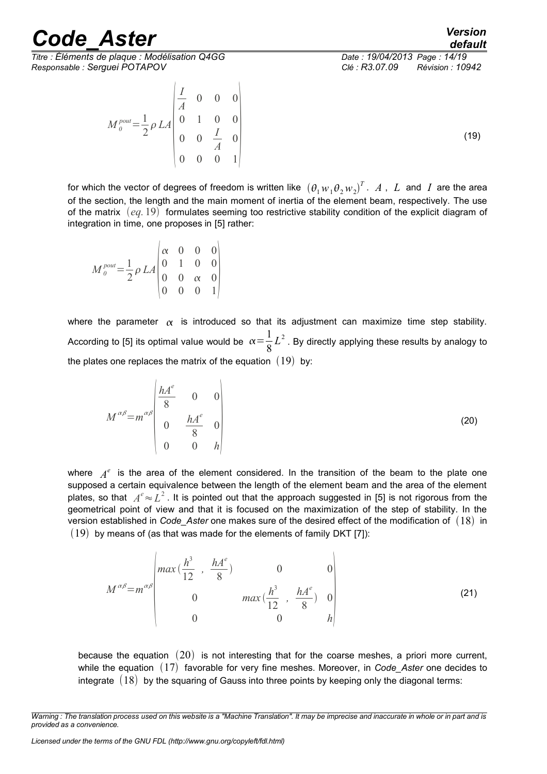*Titre : Éléments de plaque : Modélisation Q4GG Date : 19/04/2013 Page : 14/19 Responsable : Serguei POTAPOV Clé : R3.07.09 Révision : 10942*

 $M_0^{pout} = \frac{1}{2}$ 

2 *LA*

 $\vert$   $\vert$ 

*I A*

0 0 0

*A*

0 1 0 0

 $0 \t 0 \t 1$ 

 $\begin{bmatrix} 0 & 0 & \frac{I}{A} & 0 \\ 0 & 0 & 0 & 1 \end{bmatrix}$  (19)

for which the vector of degrees of freedom is written like  $\left(\theta_1w_1\theta_2w_2\right)^T$ .  $A$  ,  $L$  and  $I$  are the area of the section, the length and the main moment of inertia of the element beam, respectively. The use of the matrix  $(eq.19)$  formulates seeming too restrictive stability condition of the explicit diagram of integration in time, one proposes in [5] rather:

$$
M_{0}^{pout} = \frac{1}{2} \rho L A \begin{pmatrix} \alpha & 0 & 0 & 0 \\ 0 & 1 & 0 & 0 \\ 0 & 0 & \alpha & 0 \\ 0 & 0 & 0 & 1 \end{pmatrix}
$$

where the parameter  $\alpha$  is introduced so that its adjustment can maximize time step stability. According to [5] its optimal value would be  $\alpha = \frac{1}{2}$ 8  $L^2$  . By directly applying these results by analogy to the plates one replaces the matrix of the equation  $(19)$  by:

$$
M^{\alpha\beta} = m^{\alpha\beta} \begin{vmatrix} hA^e & 0 & 0 \\ 8 & 0 & 0 \\ 0 & \frac{hA^e}{8} & 0 \\ 0 & 0 & h \end{vmatrix}
$$
 (20)

where  $A^e$  is the area of the element considered. In the transition of the beam to the plate one supposed a certain equivalence between the length of the element beam and the area of the element plates, so that  $\,\,A^e\!\approx\!L^2$  . It is pointed out that the approach suggested in [5] is not rigorous from the geometrical point of view and that it is focused on the maximization of the step of stability. In the version established in *Code\_Aster* one makes sure of the desired effect of the modification of (18) in  $(19)$  by means of (as that was made for the elements of family DKT [7]):

$$
M^{\alpha\beta} = m^{\alpha\beta} \begin{pmatrix} \max\left(\frac{h^3}{12}, \frac{hA^e}{8}\right) & 0 & 0\\ 0 & \max\left(\frac{h^3}{12}, \frac{hA^e}{8}\right) & 0\\ 0 & 0 & h \end{pmatrix}
$$
(21)

because the equation  $(20)$  is not interesting that for the coarse meshes, a priori more current, while the equation (17) favorable for very fine meshes. Moreover, in *Code\_Aster* one decides to integrate  $(18)$  by the squaring of Gauss into three points by keeping only the diagonal terms:

*Warning : The translation process used on this website is a "Machine Translation". It may be imprecise and inaccurate in whole or in part and is provided as a convenience.*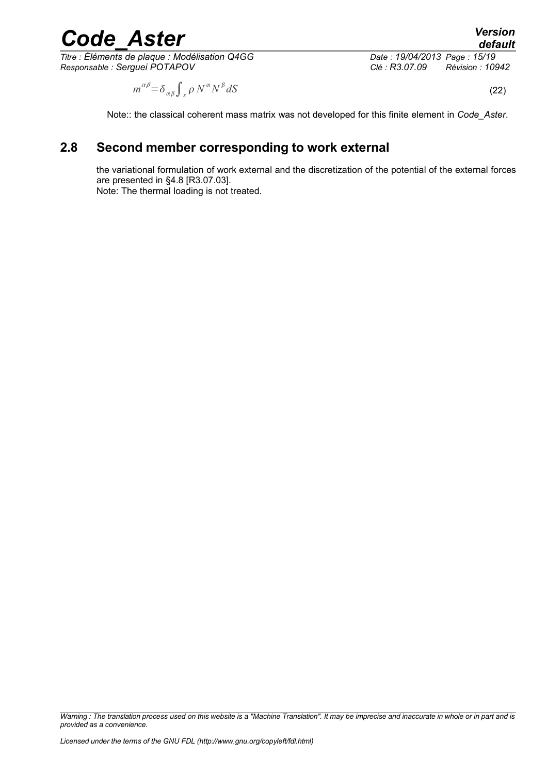*Titre : Éléments de plaque : Modélisation Q4GG Date : 19/04/2013 Page : 15/19 Responsable : Serguei POTAPOV Clé : R3.07.09 Révision : 10942*

 $dS$  (22)

 $m^{\alpha\beta} = \delta_{\alpha\beta} \int_{\mathcal{S}} \rho \, N^{\alpha} N^{\beta}$ 

Note:: the classical coherent mass matrix was not developed for this finite element in *Code\_Aster*.

# **2.8 Second member corresponding to work external**

<span id="page-14-0"></span>the variational formulation of work external and the discretization of the potential of the external forces are presented in §4.8 [R3.07.03]. Note: The thermal loading is not treated.

*Warning : The translation process used on this website is a "Machine Translation". It may be imprecise and inaccurate in whole or in part and is provided as a convenience.*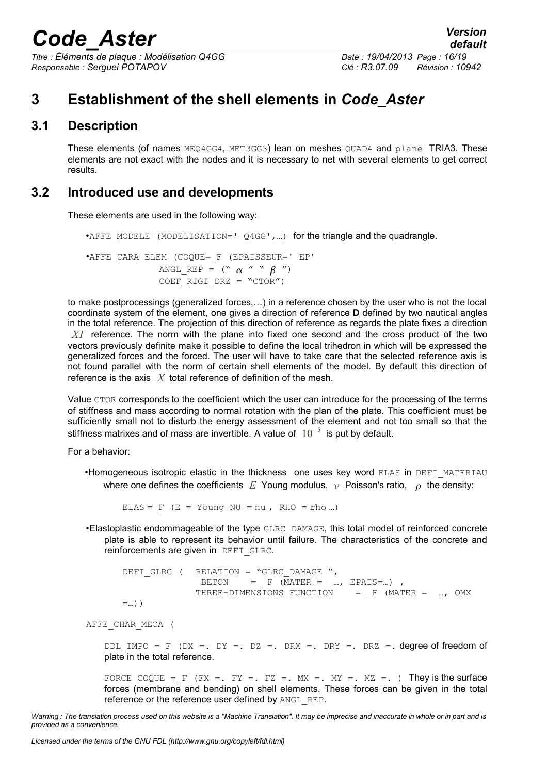*Titre : Éléments de plaque : Modélisation Q4GG Date : 19/04/2013 Page : 16/19 Responsable : Serguei POTAPOV Clé : R3.07.09 Révision : 10942*

# <span id="page-15-2"></span>**3 Establishment of the shell elements in** *Code\_Aster*

### **3.1 Description**

<span id="page-15-1"></span>These elements (of names MEQ4GG4, MET3GG3) lean on meshes QUAD4 and plane TRIA3. These elements are not exact with the nodes and it is necessary to net with several elements to get correct results.

### **3.2 Introduced use and developments**

<span id="page-15-0"></span>These elements are used in the following way:

```
•AFFE_MODELE_(MODELISATION=' Q4GG',...) for the triangle and the quadrangle.
```

```
•AFFE_CARA_ELEM (COQUE=_F (EPAISSEUR=' EP'
              ANGL REP = (" \alpha " " \beta ")
              COEF RIGI DRZ = "CTOR")
```
to make postprocessings (generalized forces,…) in a reference chosen by the user who is not the local coordinate system of the element, one gives a direction of reference **D** defined by two nautical angles in the total reference. The projection of this direction of reference as regards the plate fixes a direction *X1* reference. The norm with the plane into fixed one second and the cross product of the two vectors previously definite make it possible to define the local trihedron in which will be expressed the generalized forces and the forced. The user will have to take care that the selected reference axis is not found parallel with the norm of certain shell elements of the model. By default this direction of reference is the axis *X* total reference of definition of the mesh.

Value CTOR corresponds to the coefficient which the user can introduce for the processing of the terms of stiffness and mass according to normal rotation with the plan of the plate. This coefficient must be sufficiently small not to disturb the energy assessment of the element and not too small so that the stiffness matrixes and of mass are invertible. A value of  $10^{-5}$  is put by default.

For a behavior:

•Homogeneous isotropic elastic in the thickness one uses key word ELAS in DEFI\_MATERIAU where one defines the coefficients *E* Young modulus,  $\gamma$  Poisson's ratio,  $\rho$  the density:

ELAS =  $F$  (E = Young NU = nu, RHO = rho ...)

•Elastoplastic endommageable of the type GLRC\_DAMAGE, this total model of reinforced concrete plate is able to represent its behavior until failure. The characteristics of the concrete and reinforcements are given in DEFI\_GLRC.

DEFI\_GLRC ( RELATION = "GLRC\_DAMAGE ", BETON =  $F$  (MATER = ..., EPAIS=...), THREE-DIMENSIONS FUNCTION =  $F$  (MATER = ..., OMX  $=$ ...) )

AFFE\_CHAR\_MECA (

DDL IMPO = F (DX =. DY =. DZ =. DRX =. DRY =. DRZ =. degree of freedom of plate in the total reference.

FORCE COQUE = F (FX =. FY =. FZ =. MX =. MY =. MZ =. ) They is the surface forces (membrane and bending) on shell elements. These forces can be given in the total reference or the reference user defined by ANGL\_REP.

*Warning : The translation process used on this website is a "Machine Translation". It may be imprecise and inaccurate in whole or in part and is provided as a convenience.*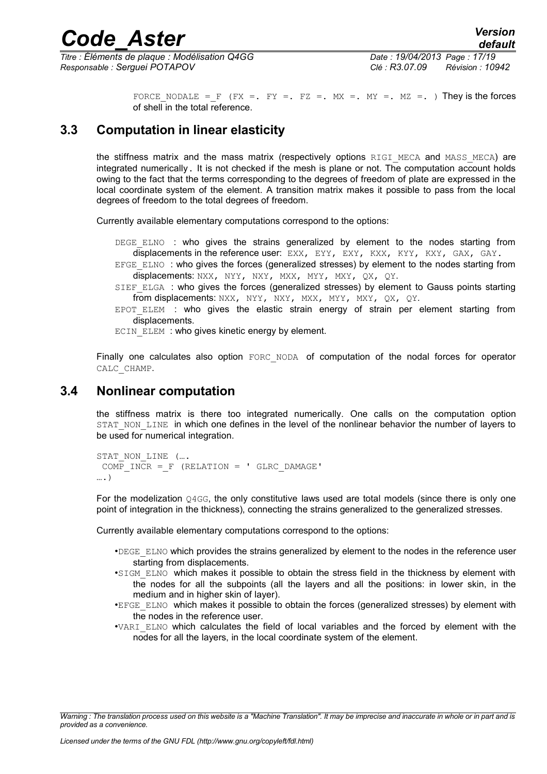*Titre : Éléments de plaque : Modélisation Q4GG Date : 19/04/2013 Page : 17/19 Responsable : Serguei POTAPOV Clé : R3.07.09 Révision : 10942*

*default*

FORCE NODALE = F (FX =. FY =. FZ =. MX =. MY =. MZ =. ) They is the forces of shell in the total reference.

### **3.3 Computation in linear elasticity**

<span id="page-16-1"></span>the stiffness matrix and the mass matrix (respectively options RIGI MECA and MASS MECA) are integrated numerically. It is not checked if the mesh is plane or not. The computation account holds owing to the fact that the terms corresponding to the degrees of freedom of plate are expressed in the local coordinate system of the element. A transition matrix makes it possible to pass from the local degrees of freedom to the total degrees of freedom.

Currently available elementary computations correspond to the options:

DEGE ELNO : who gives the strains generalized by element to the nodes starting from displacements in the reference user: EXX, EYY, EXY, KXX, KYY, KXY, GAX, GAY.

- EFGE ELNO : who gives the forces (generalized stresses) by element to the nodes starting from displacements: NXX, NYY, NXY, MXX, MYY, MXY, QX, QY.
- SIEF ELGA : who gives the forces (generalized stresses) by element to Gauss points starting from displacements: NXX, NYY, NXY, MXX, MYY, MXY, QX, QY.
- $E$  EPOT ELEM : who gives the elastic strain energy of strain per element starting from displacements.

ECIN ELEM : who gives kinetic energy by element.

Finally one calculates also option FORC NODA of computation of the nodal forces for operator CALC\_CHAMP.

### **3.4 Nonlinear computation**

<span id="page-16-0"></span>the stiffness matrix is there too integrated numerically. One calls on the computation option STAT\_NON\_LINE in which one defines in the level of the nonlinear behavior the number of layers to be used for numerical integration.

```
STAT_NON_LINE (...
COMP INCR = F (RELATION = ' GLRC DAMAGE'
….)
```
For the modelization 04GG, the only constitutive laws used are total models (since there is only one point of integration in the thickness), connecting the strains generalized to the generalized stresses.

Currently available elementary computations correspond to the options:

- •DEGE\_ELNO which provides the strains generalized by element to the nodes in the reference user starting from displacements.
- •SIGM ELNO which makes it possible to obtain the stress field in the thickness by element with the nodes for all the subpoints (all the layers and all the positions: in lower skin, in the medium and in higher skin of layer).
- •EFGE\_ELNO which makes it possible to obtain the forces (generalized stresses) by element with the nodes in the reference user.
- •VARI\_ELNO which calculates the field of local variables and the forced by element with the nodes for all the layers, in the local coordinate system of the element.

*Warning : The translation process used on this website is a "Machine Translation". It may be imprecise and inaccurate in whole or in part and is provided as a convenience.*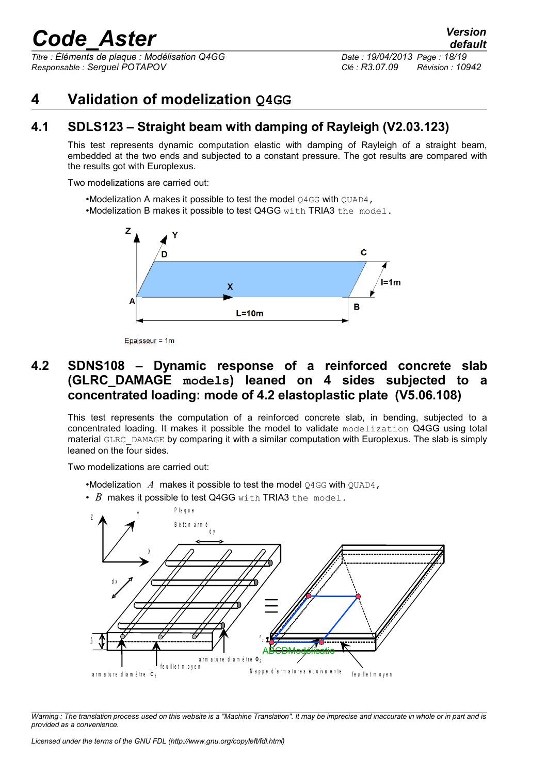*Titre : Éléments de plaque : Modélisation Q4GG Date : 19/04/2013 Page : 18/19 Responsable : Serguei POTAPOV Clé : R3.07.09 Révision : 10942*

# <span id="page-17-2"></span>**4 Validation of modelization Q4GG**

## **4.1 SDLS123 – Straight beam with damping of Rayleigh (V2.03.123)**

<span id="page-17-1"></span>This test represents dynamic computation elastic with damping of Rayleigh of a straight beam, embedded at the two ends and subjected to a constant pressure. The got results are compared with the results got with Europlexus.

Two modelizations are carried out:

•Modelization A makes it possible to test the model  $Q4GG$  with  $QUAD4$ , •Modelization B makes it possible to test Q4GG with TRIA3 the model.



Epaisseur = 1m

### <span id="page-17-0"></span>**4.2 SDNS108 – Dynamic response of a reinforced concrete slab (GLRC\_DAMAGE models) leaned on 4 sides subjected to a concentrated loading: mode of 4.2 elastoplastic plate (V5.06.108)**

This test represents the computation of a reinforced concrete slab, in bending, subjected to a concentrated loading. It makes it possible the model to validate modelization Q4GG using total material GLRC DAMAGE by comparing it with a similar computation with Europlexus. The slab is simply leaned on the four sides.

Two modelizations are carried out:

•Modelization A makes it possible to test the model Q4GG with QUAD4,

• *B* makes it possible to test Q4GG with TRIA3 the model.



*Warning : The translation process used on this website is a "Machine Translation". It may be imprecise and inaccurate in whole or in part and is provided as a convenience.*